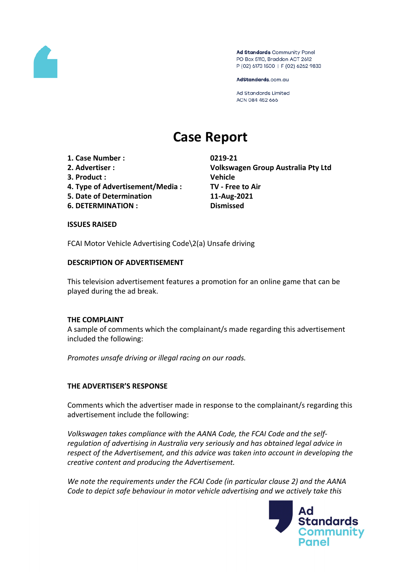

Ad Standards Community Panel PO Box 5110, Braddon ACT 2612 P (02) 6173 1500 | F (02) 6262 9833

AdStandards.com.au

Ad Standards Limited ACN 084 452 666

# **Case Report**

- **1. Case Number : 0219-21**
- 
- **3. Product : Vehicle**
- **4. Type of Advertisement/Media : TV - Free to Air**
- **5. Date of Determination 11-Aug-2021**
- **6. DETERMINATION : Dismissed**

**2. Advertiser : Volkswagen Group Australia Pty Ltd**

#### **ISSUES RAISED**

FCAI Motor Vehicle Advertising Code\2(a) Unsafe driving

#### **DESCRIPTION OF ADVERTISEMENT**

This television advertisement features a promotion for an online game that can be played during the ad break.

#### **THE COMPLAINT**

A sample of comments which the complainant/s made regarding this advertisement included the following:

*Promotes unsafe driving or illegal racing on our roads.*

# **THE ADVERTISER'S RESPONSE**

Comments which the advertiser made in response to the complainant/s regarding this advertisement include the following:

*Volkswagen takes compliance with the AANA Code, the FCAI Code and the selfregulation of advertising in Australia very seriously and has obtained legal advice in respect of the Advertisement, and this advice was taken into account in developing the creative content and producing the Advertisement.*

*We note the requirements under the FCAI Code (in particular clause 2) and the AANA Code to depict safe behaviour in motor vehicle advertising and we actively take this*

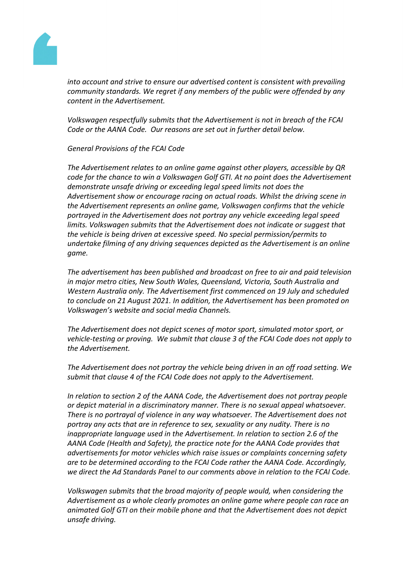

*into account and strive to ensure our advertised content is consistent with prevailing community standards. We regret if any members of the public were offended by any content in the Advertisement.*

*Volkswagen respectfully submits that the Advertisement is not in breach of the FCAI Code or the AANA Code. Our reasons are set out in further detail below.*

#### *General Provisions of the FCAI Code*

*The Advertisement relates to an online game against other players, accessible by QR code for the chance to win a Volkswagen Golf GTI. At no point does the Advertisement demonstrate unsafe driving or exceeding legal speed limits not does the Advertisement show or encourage racing on actual roads. Whilst the driving scene in the Advertisement represents an online game, Volkswagen confirms that the vehicle portrayed in the Advertisement does not portray any vehicle exceeding legal speed limits. Volkswagen submits that the Advertisement does not indicate or suggest that the vehicle is being driven at excessive speed. No special permission/permits to undertake filming of any driving sequences depicted as the Advertisement is an online game.*

*The advertisement has been published and broadcast on free to air and paid television in major metro cities, New South Wales, Queensland, Victoria, South Australia and Western Australia only. The Advertisement first commenced on 19 July and scheduled to conclude on 21 August 2021. In addition, the Advertisement has been promoted on Volkswagen's website and social media Channels.*

*The Advertisement does not depict scenes of motor sport, simulated motor sport, or vehicle-testing or proving. We submit that clause 3 of the FCAI Code does not apply to the Advertisement.*

*The Advertisement does not portray the vehicle being driven in an off road setting. We submit that clause 4 of the FCAI Code does not apply to the Advertisement.*

*In relation to section 2 of the AANA Code, the Advertisement does not portray people or depict material in a discriminatory manner. There is no sexual appeal whatsoever. There is no portrayal of violence in any way whatsoever. The Advertisement does not portray any acts that are in reference to sex, sexuality or any nudity. There is no inappropriate language used in the Advertisement. In relation to section 2.6 of the AANA Code (Health and Safety), the practice note for the AANA Code provides that advertisements for motor vehicles which raise issues or complaints concerning safety are to be determined according to the FCAI Code rather the AANA Code. Accordingly, we direct the Ad Standards Panel to our comments above in relation to the FCAI Code.*

*Volkswagen submits that the broad majority of people would, when considering the Advertisement as a whole clearly promotes an online game where people can race an animated Golf GTI on their mobile phone and that the Advertisement does not depict unsafe driving.*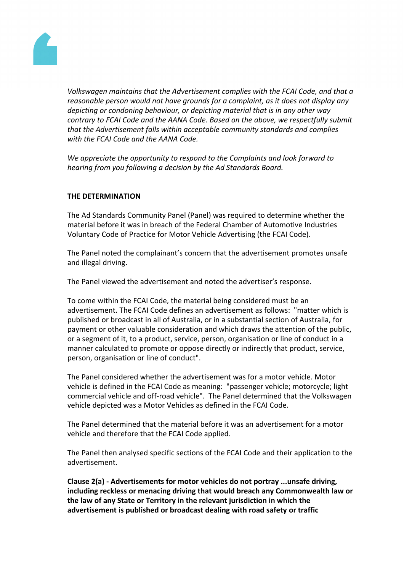

*Volkswagen maintains that the Advertisement complies with the FCAI Code, and that a reasonable person would not have grounds for a complaint, as it does not display any depicting or condoning behaviour, or depicting material that is in any other way contrary to FCAI Code and the AANA Code. Based on the above, we respectfully submit that the Advertisement falls within acceptable community standards and complies with the FCAI Code and the AANA Code.* 

*We appreciate the opportunity to respond to the Complaints and look forward to hearing from you following a decision by the Ad Standards Board.* 

## **THE DETERMINATION**

The Ad Standards Community Panel (Panel) was required to determine whether the material before it was in breach of the Federal Chamber of Automotive Industries Voluntary Code of Practice for Motor Vehicle Advertising (the FCAI Code).

The Panel noted the complainant's concern that the advertisement promotes unsafe and illegal driving.

The Panel viewed the advertisement and noted the advertiser's response.

To come within the FCAI Code, the material being considered must be an advertisement. The FCAI Code defines an advertisement as follows: "matter which is published or broadcast in all of Australia, or in a substantial section of Australia, for payment or other valuable consideration and which draws the attention of the public, or a segment of it, to a product, service, person, organisation or line of conduct in a manner calculated to promote or oppose directly or indirectly that product, service, person, organisation or line of conduct".

The Panel considered whether the advertisement was for a motor vehicle. Motor vehicle is defined in the FCAI Code as meaning: "passenger vehicle; motorcycle; light commercial vehicle and off-road vehicle". The Panel determined that the Volkswagen vehicle depicted was a Motor Vehicles as defined in the FCAI Code.

The Panel determined that the material before it was an advertisement for a motor vehicle and therefore that the FCAI Code applied.

The Panel then analysed specific sections of the FCAI Code and their application to the advertisement.

**Clause 2(a) - Advertisements for motor vehicles do not portray ...unsafe driving, including reckless or menacing driving that would breach any Commonwealth law or the law of any State or Territory in the relevant jurisdiction in which the advertisement is published or broadcast dealing with road safety or traffic**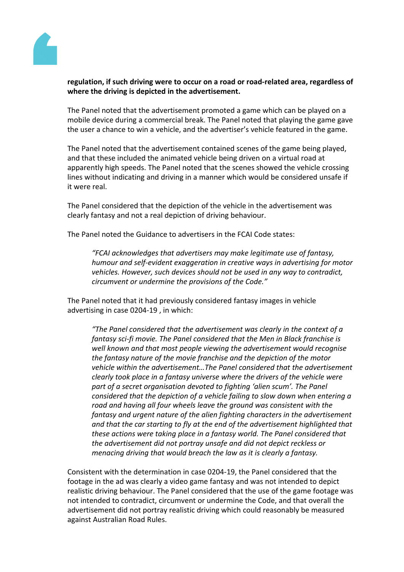

## **regulation, if such driving were to occur on a road or road-related area, regardless of where the driving is depicted in the advertisement.**

The Panel noted that the advertisement promoted a game which can be played on a mobile device during a commercial break. The Panel noted that playing the game gave the user a chance to win a vehicle, and the advertiser's vehicle featured in the game.

The Panel noted that the advertisement contained scenes of the game being played, and that these included the animated vehicle being driven on a virtual road at apparently high speeds. The Panel noted that the scenes showed the vehicle crossing lines without indicating and driving in a manner which would be considered unsafe if it were real.

The Panel considered that the depiction of the vehicle in the advertisement was clearly fantasy and not a real depiction of driving behaviour.

The Panel noted the Guidance to advertisers in the FCAI Code states:

*"FCAI acknowledges that advertisers may make legitimate use of fantasy, humour and self-evident exaggeration in creative ways in advertising for motor vehicles. However, such devices should not be used in any way to contradict, circumvent or undermine the provisions of the Code."*

The Panel noted that it had previously considered fantasy images in vehicle advertising in case 0204-19 , in which:

*"The Panel considered that the advertisement was clearly in the context of a fantasy sci-fi movie. The Panel considered that the Men in Black franchise is well known and that most people viewing the advertisement would recognise the fantasy nature of the movie franchise and the depiction of the motor vehicle within the advertisement…The Panel considered that the advertisement clearly took place in a fantasy universe where the drivers of the vehicle were part of a secret organisation devoted to fighting 'alien scum'. The Panel considered that the depiction of a vehicle failing to slow down when entering a road and having all four wheels leave the ground was consistent with the fantasy and urgent nature of the alien fighting characters in the advertisement and that the car starting to fly at the end of the advertisement highlighted that these actions were taking place in a fantasy world. The Panel considered that the advertisement did not portray unsafe and did not depict reckless or menacing driving that would breach the law as it is clearly a fantasy.*

Consistent with the determination in case 0204-19, the Panel considered that the footage in the ad was clearly a video game fantasy and was not intended to depict realistic driving behaviour. The Panel considered that the use of the game footage was not intended to contradict, circumvent or undermine the Code, and that overall the advertisement did not portray realistic driving which could reasonably be measured against Australian Road Rules.